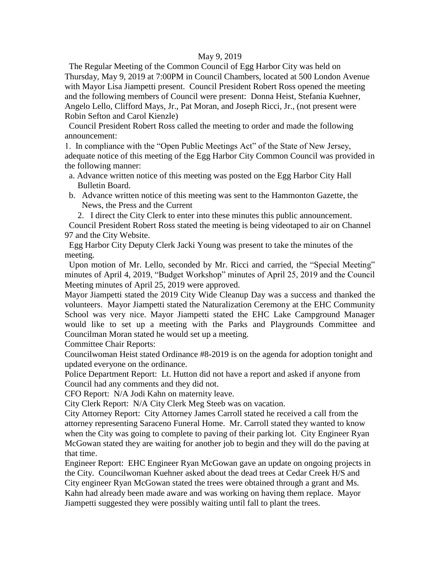### May 9, 2019

 The Regular Meeting of the Common Council of Egg Harbor City was held on Thursday, May 9, 2019 at 7:00PM in Council Chambers, located at 500 London Avenue with Mayor Lisa Jiampetti present. Council President Robert Ross opened the meeting and the following members of Council were present: Donna Heist, Stefania Kuehner, Angelo Lello, Clifford Mays, Jr., Pat Moran, and Joseph Ricci, Jr., (not present were Robin Sefton and Carol Kienzle)

 Council President Robert Ross called the meeting to order and made the following announcement:

1. In compliance with the "Open Public Meetings Act" of the State of New Jersey, adequate notice of this meeting of the Egg Harbor City Common Council was provided in the following manner:

- a. Advance written notice of this meeting was posted on the Egg Harbor City Hall Bulletin Board.
- b. Advance written notice of this meeting was sent to the Hammonton Gazette, the News, the Press and the Current

2. I direct the City Clerk to enter into these minutes this public announcement.

 Council President Robert Ross stated the meeting is being videotaped to air on Channel 97 and the City Website.

 Egg Harbor City Deputy Clerk Jacki Young was present to take the minutes of the meeting.

 Upon motion of Mr. Lello, seconded by Mr. Ricci and carried, the "Special Meeting" minutes of April 4, 2019, "Budget Workshop" minutes of April 25, 2019 and the Council Meeting minutes of April 25, 2019 were approved.

Mayor Jiampetti stated the 2019 City Wide Cleanup Day was a success and thanked the volunteers. Mayor Jiampetti stated the Naturalization Ceremony at the EHC Community School was very nice. Mayor Jiampetti stated the EHC Lake Campground Manager would like to set up a meeting with the Parks and Playgrounds Committee and Councilman Moran stated he would set up a meeting.

Committee Chair Reports:

Councilwoman Heist stated Ordinance #8-2019 is on the agenda for adoption tonight and updated everyone on the ordinance.

Police Department Report: Lt. Hutton did not have a report and asked if anyone from Council had any comments and they did not.

CFO Report: N/A Jodi Kahn on maternity leave.

City Clerk Report: N/A City Clerk Meg Steeb was on vacation.

City Attorney Report: City Attorney James Carroll stated he received a call from the attorney representing Saraceno Funeral Home. Mr. Carroll stated they wanted to know when the City was going to complete to paving of their parking lot. City Engineer Ryan McGowan stated they are waiting for another job to begin and they will do the paving at that time.

Engineer Report: EHC Engineer Ryan McGowan gave an update on ongoing projects in the City. Councilwoman Kuehner asked about the dead trees at Cedar Creek H/S and City engineer Ryan McGowan stated the trees were obtained through a grant and Ms. Kahn had already been made aware and was working on having them replace. Mayor Jiampetti suggested they were possibly waiting until fall to plant the trees.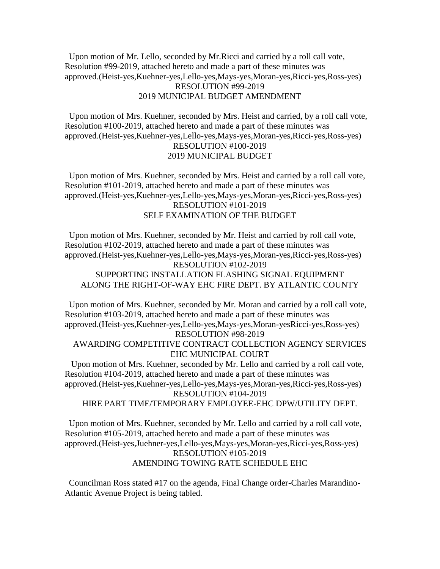Upon motion of Mr. Lello, seconded by Mr.Ricci and carried by a roll call vote, Resolution #99-2019, attached hereto and made a part of these minutes was approved.(Heist-yes,Kuehner-yes,Lello-yes,Mays-yes,Moran-yes,Ricci-yes,Ross-yes) RESOLUTION #99-2019 2019 MUNICIPAL BUDGET AMENDMENT

 Upon motion of Mrs. Kuehner, seconded by Mrs. Heist and carried, by a roll call vote, Resolution #100-2019, attached hereto and made a part of these minutes was approved.(Heist-yes,Kuehner-yes,Lello-yes,Mays-yes,Moran-yes,Ricci-yes,Ross-yes) RESOLUTION #100-2019 2019 MUNICIPAL BUDGET

 Upon motion of Mrs. Kuehner, seconded by Mrs. Heist and carried by a roll call vote, Resolution #101-2019, attached hereto and made a part of these minutes was approved.(Heist-yes,Kuehner-yes,Lello-yes,Mays-yes,Moran-yes,Ricci-yes,Ross-yes) RESOLUTION #101-2019 SELF EXAMINATION OF THE BUDGET

 Upon motion of Mrs. Kuehner, seconded by Mr. Heist and carried by roll call vote, Resolution #102-2019, attached hereto and made a part of these minutes was approved.(Heist-yes,Kuehner-yes,Lello-yes,Mays-yes,Moran-yes,Ricci-yes,Ross-yes) RESOLUTION #102-2019 SUPPORTING INSTALLATION FLASHING SIGNAL EQUIPMENT ALONG THE RIGHT-OF-WAY EHC FIRE DEPT. BY ATLANTIC COUNTY

 Upon motion of Mrs. Kuehner, seconded by Mr. Moran and carried by a roll call vote, Resolution #103-2019, attached hereto and made a part of these minutes was approved.(Heist-yes,Kuehner-yes,Lello-yes,Mays-yes,Moran-yesRicci-yes,Ross-yes) RESOLUTION #98-2019

AWARDING COMPETITIVE CONTRACT COLLECTION AGENCY SERVICES EHC MUNICIPAL COURT

 Upon motion of Mrs. Kuehner, seconded by Mr. Lello and carried by a roll call vote, Resolution #104-2019, attached hereto and made a part of these minutes was approved.(Heist-yes,Kuehner-yes,Lello-yes,Mays-yes,Moran-yes,Ricci-yes,Ross-yes) RESOLUTION #104-2019

HIRE PART TIME/TEMPORARY EMPLOYEE-EHC DPW/UTILITY DEPT.

 Upon motion of Mrs. Kuehner, seconded by Mr. Lello and carried by a roll call vote, Resolution #105-2019, attached hereto and made a part of these minutes was approved.(Heist-yes,Juehner-yes,Lello-yes,Mays-yes,Moran-yes,Ricci-yes,Ross-yes) RESOLUTION #105-2019 AMENDING TOWING RATE SCHEDULE EHC

 Councilman Ross stated #17 on the agenda, Final Change order-Charles Marandino-Atlantic Avenue Project is being tabled.